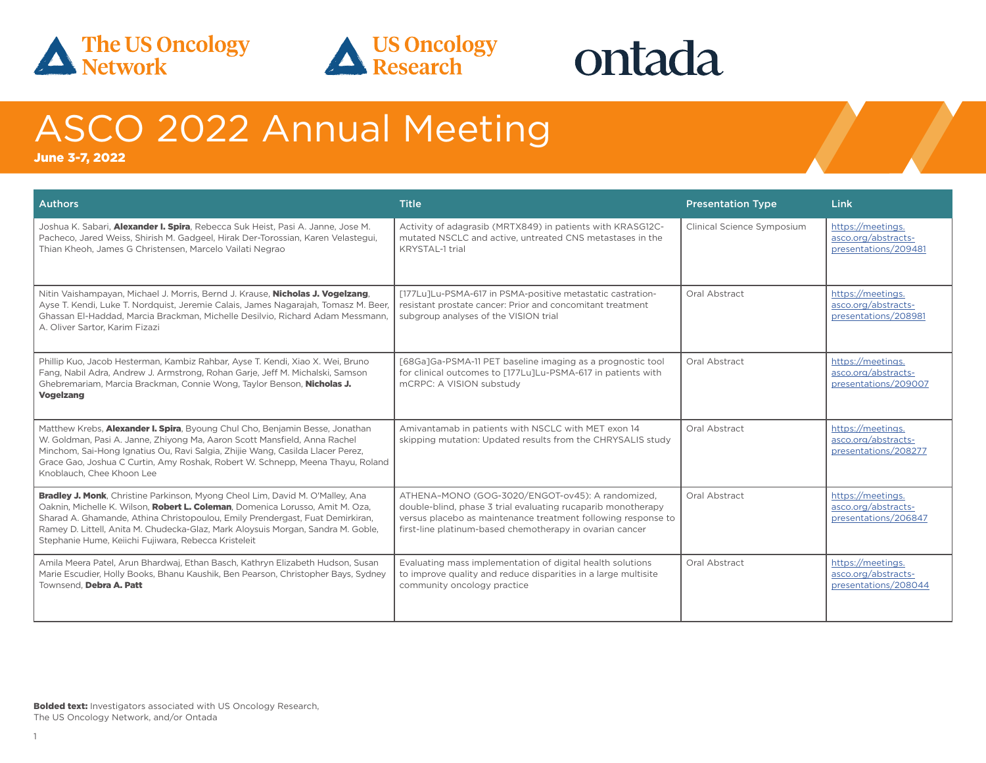



## ontada

## ASCO 2022 Annual Meeting

June 3-7, 2022

| <b>Authors</b>                                                                                                                                                                                                                                                                                                                                                                                      | <b>Title</b>                                                                                                                                                                                                                                  | <b>Presentation Type</b>   | Link                                                             |
|-----------------------------------------------------------------------------------------------------------------------------------------------------------------------------------------------------------------------------------------------------------------------------------------------------------------------------------------------------------------------------------------------------|-----------------------------------------------------------------------------------------------------------------------------------------------------------------------------------------------------------------------------------------------|----------------------------|------------------------------------------------------------------|
| Joshua K. Sabari, Alexander I. Spira, Rebecca Suk Heist, Pasi A. Janne, Jose M.<br>Pacheco, Jared Weiss, Shirish M. Gadgeel, Hirak Der-Torossian, Karen Velastegui,<br>Thian Kheoh, James G Christensen, Marcelo Vailati Negrao                                                                                                                                                                     | Activity of adagrasib (MRTX849) in patients with KRASG12C-<br>mutated NSCLC and active, untreated CNS metastases in the<br>KRYSTAL-1 trial                                                                                                    | Clinical Science Symposium | https://meetings.<br>asco.org/abstracts-<br>presentations/209481 |
| Nitin Vaishampayan, Michael J. Morris, Bernd J. Krause, Nicholas J. Vogelzang,<br>Ayse T. Kendi, Luke T. Nordquist, Jeremie Calais, James Nagarajah, Tomasz M. Beer,<br>Ghassan El-Haddad, Marcia Brackman, Michelle Desilvio, Richard Adam Messmann,<br>A. Oliver Sartor, Karim Fizazi                                                                                                             | [177Lu]Lu-PSMA-617 in PSMA-positive metastatic castration-<br>resistant prostate cancer: Prior and concomitant treatment<br>subgroup analyses of the VISION trial                                                                             | Oral Abstract              | https://meetings.<br>asco.org/abstracts-<br>presentations/208981 |
| Phillip Kuo, Jacob Hesterman, Kambiz Rahbar, Ayse T. Kendi, Xiao X. Wei, Bruno<br>Fang, Nabil Adra, Andrew J. Armstrong, Rohan Garje, Jeff M. Michalski, Samson<br>Ghebremariam, Marcia Brackman, Connie Wong, Taylor Benson, Nicholas J.<br><b>Vogelzang</b>                                                                                                                                       | [68Ga]Ga-PSMA-11 PET baseline imaging as a prognostic tool<br>for clinical outcomes to [177Lu]Lu-PSMA-617 in patients with<br>mCRPC: A VISION substudy                                                                                        | Oral Abstract              | https://meetings.<br>asco.org/abstracts-<br>presentations/209007 |
| Matthew Krebs, Alexander I. Spira, Byoung Chul Cho, Benjamin Besse, Jonathan<br>W. Goldman, Pasi A. Janne, Zhiyong Ma, Aaron Scott Mansfield, Anna Rachel<br>Minchom, Sai-Hong Ignatius Ou, Ravi Salgia, Zhijie Wang, Casilda Llacer Perez,<br>Grace Gao, Joshua C Curtin, Amy Roshak, Robert W. Schnepp, Meena Thayu, Roland<br>Knoblauch, Chee Khoon Lee                                          | Amivantamab in patients with NSCLC with MET exon 14<br>skipping mutation: Updated results from the CHRYSALIS study                                                                                                                            | Oral Abstract              | https://meetings.<br>asco.org/abstracts-<br>presentations/208277 |
| <b>Bradley J. Monk</b> , Christine Parkinson, Myong Cheol Lim, David M. O'Malley, Ana<br>Oaknin, Michelle K. Wilson, Robert L. Coleman, Domenica Lorusso, Amit M. Oza,<br>Sharad A. Ghamande, Athina Christopoulou, Emily Prendergast, Fuat Demirkiran,<br>Ramey D. Littell, Anita M. Chudecka-Glaz, Mark Aloysuis Morgan, Sandra M. Goble,<br>Stephanie Hume, Keiichi Fujiwara, Rebecca Kristeleit | ATHENA-MONO (GOG-3020/ENGOT-ov45): A randomized,<br>double-blind, phase 3 trial evaluating rucaparib monotherapy<br>versus placebo as maintenance treatment following response to<br>first-line platinum-based chemotherapy in ovarian cancer | Oral Abstract              | https://meetings.<br>asco.org/abstracts-<br>presentations/206847 |
| Amila Meera Patel, Arun Bhardwaj, Ethan Basch, Kathryn Elizabeth Hudson, Susan<br>Marie Escudier, Holly Books, Bhanu Kaushik, Ben Pearson, Christopher Bays, Sydney<br>Townsend. Debra A. Patt                                                                                                                                                                                                      | Evaluating mass implementation of digital health solutions<br>to improve quality and reduce disparities in a large multisite<br>community oncology practice                                                                                   | Oral Abstract              | https://meetings.<br>asco.org/abstracts-<br>presentations/208044 |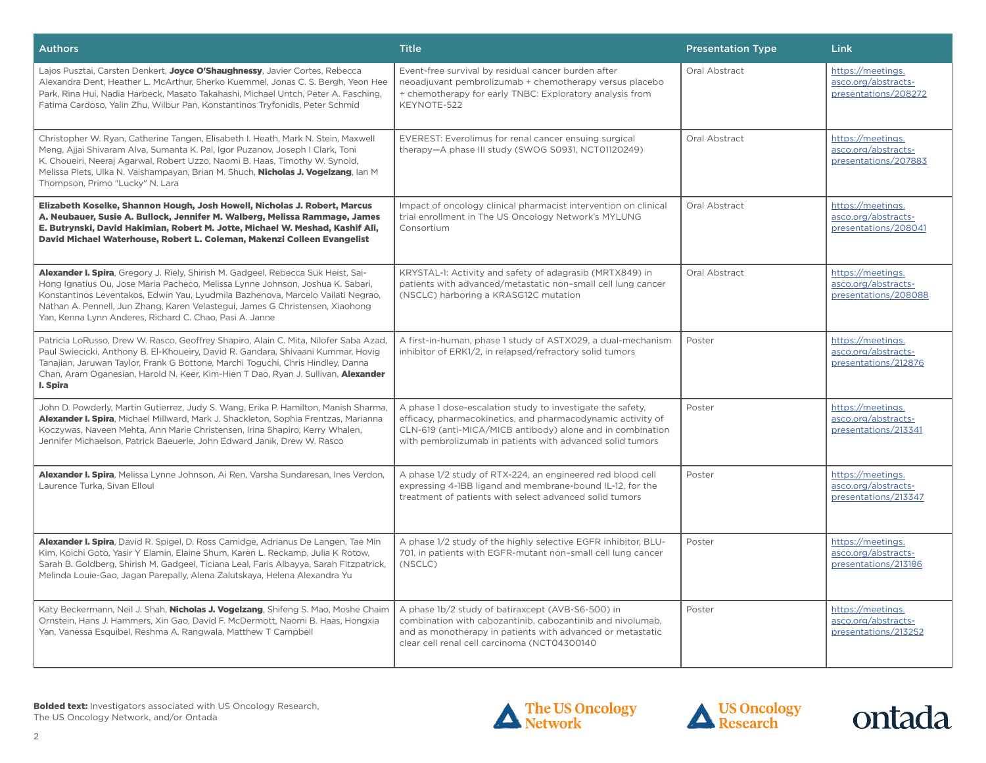| <b>Authors</b>                                                                                                                                                                                                                                                                                                                                                                                     | <b>Title</b>                                                                                                                                                                                                                                         | <b>Presentation Type</b> | Link                                                             |
|----------------------------------------------------------------------------------------------------------------------------------------------------------------------------------------------------------------------------------------------------------------------------------------------------------------------------------------------------------------------------------------------------|------------------------------------------------------------------------------------------------------------------------------------------------------------------------------------------------------------------------------------------------------|--------------------------|------------------------------------------------------------------|
| Lajos Pusztai, Carsten Denkert, Joyce O'Shaughnessy, Javier Cortes, Rebecca<br>Alexandra Dent, Heather L. McArthur, Sherko Kuemmel, Jonas C. S. Bergh, Yeon Hee<br>Park, Rina Hui, Nadia Harbeck, Masato Takahashi, Michael Untch, Peter A. Fasching,<br>Fatima Cardoso, Yalin Zhu, Wilbur Pan, Konstantinos Tryfonidis, Peter Schmid                                                              | Event-free survival by residual cancer burden after<br>neoadjuvant pembrolizumab + chemotherapy versus placebo<br>+ chemotherapy for early TNBC: Exploratory analysis from<br>KEYNOTE-522                                                            | Oral Abstract            | https://meetings.<br>asco.org/abstracts-<br>presentations/208272 |
| Christopher W. Ryan, Catherine Tangen, Elisabeth I. Heath, Mark N. Stein, Maxwell<br>Meng, Ajjai Shivaram Alva, Sumanta K. Pal, Igor Puzanov, Joseph I Clark, Toni<br>K. Choueiri, Neeraj Agarwal, Robert Uzzo, Naomi B. Haas, Timothy W. Synold,<br>Melissa Plets, Ulka N. Vaishampayan, Brian M. Shuch, Nicholas J. Vogelzang, Ian M<br>Thompson, Primo "Lucky" N. Lara                          | EVEREST: Everolimus for renal cancer ensuing surgical<br>therapy-A phase III study (SWOG S0931, NCT01120249)                                                                                                                                         | Oral Abstract            | https://meetings.<br>asco.org/abstracts-<br>presentations/207883 |
| Elizabeth Koselke, Shannon Hough, Josh Howell, Nicholas J. Robert, Marcus<br>A. Neubauer, Susie A. Bullock, Jennifer M. Walberg, Melissa Rammage, James<br>E. Butrynski, David Hakimian, Robert M. Jotte, Michael W. Meshad, Kashif Ali,<br>David Michael Waterhouse, Robert L. Coleman, Makenzi Colleen Evangelist                                                                                | Impact of oncology clinical pharmacist intervention on clinical<br>trial enrollment in The US Oncology Network's MYLUNG<br>Consortium                                                                                                                | Oral Abstract            | https://meetings.<br>asco.org/abstracts-<br>presentations/208041 |
| Alexander I. Spira, Gregory J. Riely, Shirish M. Gadgeel, Rebecca Suk Heist, Sai-<br>Hong Ignatius Ou, Jose Maria Pacheco, Melissa Lynne Johnson, Joshua K. Sabari,<br>Konstantinos Leventakos, Edwin Yau, Lyudmila Bazhenova, Marcelo Vailati Negrao,<br>Nathan A. Pennell, Jun Zhang, Karen Velastegui, James G Christensen, Xiaohong<br>Yan, Kenna Lynn Anderes, Richard C. Chao, Pasi A. Janne | KRYSTAL-1: Activity and safety of adagrasib (MRTX849) in<br>patients with advanced/metastatic non-small cell lung cancer<br>(NSCLC) harboring a KRASG12C mutation                                                                                    | Oral Abstract            | https://meetings.<br>asco.org/abstracts-<br>presentations/208088 |
| Patricia LoRusso, Drew W. Rasco, Geoffrey Shapiro, Alain C. Mita, Nilofer Saba Azad,<br>Paul Swiecicki, Anthony B. El-Khoueiry, David R. Gandara, Shivaani Kummar, Hovig<br>Tanajian, Jaruwan Taylor, Frank G Bottone, Marchi Toguchi, Chris Hindley, Danna<br>Chan, Aram Oganesian, Harold N. Keer, Kim-Hien T Dao, Ryan J. Sullivan, Alexander<br>I. Spira                                       | A first-in-human, phase 1 study of ASTX029, a dual-mechanism<br>inhibitor of ERK1/2, in relapsed/refractory solid tumors                                                                                                                             | Poster                   | https://meetings.<br>asco.org/abstracts-<br>presentations/212876 |
| John D. Powderly, Martin Gutierrez, Judy S. Wang, Erika P. Hamilton, Manish Sharma,<br>Alexander I. Spira, Michael Millward, Mark J. Shackleton, Sophia Frentzas, Marianna<br>Koczywas, Naveen Mehta, Ann Marie Christensen, Irina Shapiro, Kerry Whalen,<br>Jennifer Michaelson, Patrick Baeuerle, John Edward Janik, Drew W. Rasco                                                               | A phase 1 dose-escalation study to investigate the safety,<br>efficacy, pharmacokinetics, and pharmacodynamic activity of<br>CLN-619 (anti-MICA/MICB antibody) alone and in combination<br>with pembrolizumab in patients with advanced solid tumors | Poster                   | https://meetings.<br>asco.org/abstracts-<br>presentations/213341 |
| Alexander I. Spira, Melissa Lynne Johnson, Ai Ren, Varsha Sundaresan, Ines Verdon,<br>Laurence Turka, Sivan Elloul                                                                                                                                                                                                                                                                                 | A phase 1/2 study of RTX-224, an engineered red blood cell<br>expressing 4-1BB ligand and membrane-bound IL-12, for the<br>treatment of patients with select advanced solid tumors                                                                   | Poster                   | https://meetings.<br>asco.org/abstracts-<br>presentations/213347 |
| Alexander I. Spira, David R. Spigel, D. Ross Camidge, Adrianus De Langen, Tae Min<br>Kim, Koichi Goto, Yasir Y Elamin, Elaine Shum, Karen L. Reckamp, Julia K Rotow,<br>Sarah B. Goldberg, Shirish M. Gadgeel, Ticiana Leal, Faris Albayya, Sarah Fitzpatrick,<br>Melinda Louie-Gao, Jagan Parepally, Alena Zalutskaya, Helena Alexandra Yu                                                        | A phase 1/2 study of the highly selective EGFR inhibitor, BLU-<br>701, in patients with EGFR-mutant non-small cell lung cancer<br>(NSCLC)                                                                                                            | Poster                   | https://meetings.<br>asco.org/abstracts-<br>presentations/213186 |
| Katy Beckermann, Neil J. Shah, Nicholas J. Vogelzang, Shifeng S. Mao, Moshe Chaim<br>Ornstein, Hans J. Hammers, Xin Gao, David F. McDermott, Naomi B. Haas, Hongxia<br>Yan, Vanessa Esquibel, Reshma A. Rangwala, Matthew T Campbell                                                                                                                                                               | A phase 1b/2 study of batiraxcept (AVB-S6-500) in<br>combination with cabozantinib, cabozantinib and nivolumab,<br>and as monotherapy in patients with advanced or metastatic<br>clear cell renal cell carcinoma (NCT04300140                        | Poster                   | https://meetings.<br>asco.org/abstracts-<br>presentations/213252 |





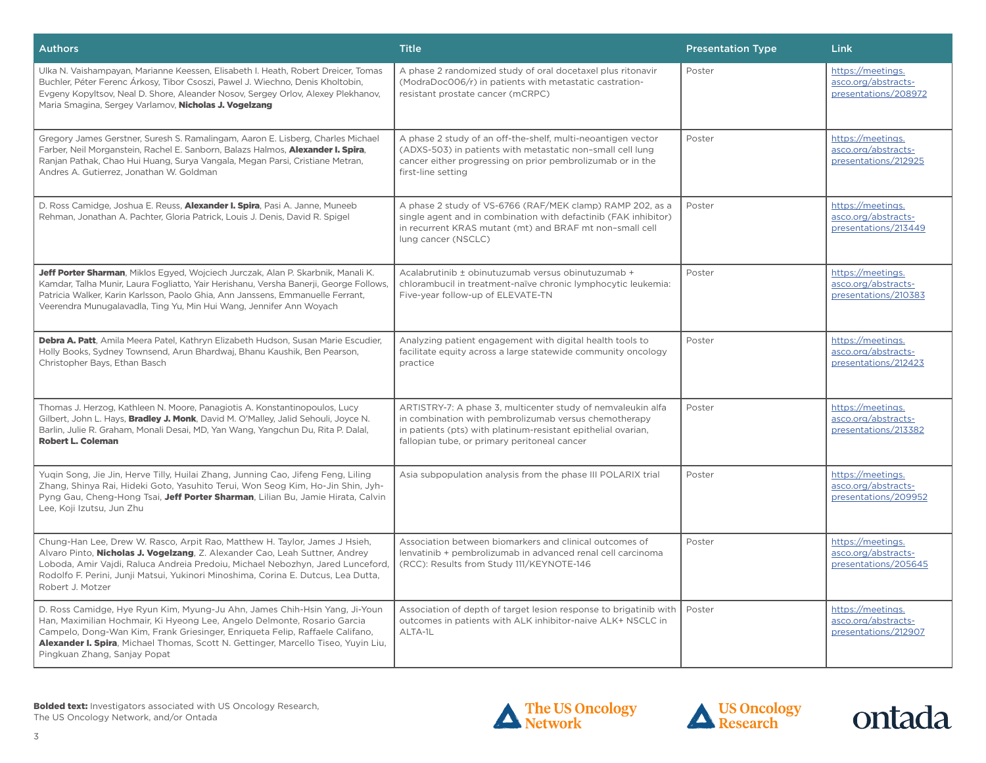| <b>Authors</b>                                                                                                                                                                                                                                                                                                                                               | <b>Title</b>                                                                                                                                                                                                                           | <b>Presentation Type</b> | Link                                                             |
|--------------------------------------------------------------------------------------------------------------------------------------------------------------------------------------------------------------------------------------------------------------------------------------------------------------------------------------------------------------|----------------------------------------------------------------------------------------------------------------------------------------------------------------------------------------------------------------------------------------|--------------------------|------------------------------------------------------------------|
| Ulka N. Vaishampayan, Marianne Keessen, Elisabeth I. Heath, Robert Dreicer, Tomas<br>Buchler, Péter Ferenc Árkosy, Tibor Csoszi, Pawel J. Wiechno, Denis Kholtobin,<br>Evgeny Kopyltsov, Neal D. Shore, Aleander Nosov, Sergey Orlov, Alexey Plekhanov,<br>Maria Smagina, Sergey Varlamov, Nicholas J. Vogelzang                                             | A phase 2 randomized study of oral docetaxel plus ritonavir<br>(ModraDoc006/r) in patients with metastatic castration-<br>resistant prostate cancer (mCRPC)                                                                            | Poster                   | https://meetings.<br>asco.org/abstracts-<br>presentations/208972 |
| Gregory James Gerstner, Suresh S. Ramalingam, Aaron E. Lisberg, Charles Michael<br>Farber, Neil Morganstein, Rachel E. Sanborn, Balazs Halmos, Alexander I. Spira,<br>Ranjan Pathak, Chao Hui Huang, Surya Vangala, Megan Parsi, Cristiane Metran,<br>Andres A. Gutierrez, Jonathan W. Goldman                                                               | A phase 2 study of an off-the-shelf, multi-neoantigen vector<br>(ADXS-503) in patients with metastatic non-small cell lung<br>cancer either progressing on prior pembrolizumab or in the<br>first-line setting                         | Poster                   | https://meetings.<br>asco.org/abstracts-<br>presentations/212925 |
| D. Ross Camidge, Joshua E. Reuss, Alexander I. Spira, Pasi A. Janne, Muneeb<br>Rehman, Jonathan A. Pachter, Gloria Patrick, Louis J. Denis, David R. Spigel                                                                                                                                                                                                  | A phase 2 study of VS-6766 (RAF/MEK clamp) RAMP 202, as a<br>single agent and in combination with defactinib (FAK inhibitor)<br>in recurrent KRAS mutant (mt) and BRAF mt non-small cell<br>lung cancer (NSCLC)                        | Poster                   | https://meetings.<br>asco.org/abstracts-<br>presentations/213449 |
| Jeff Porter Sharman, Miklos Egyed, Wojciech Jurczak, Alan P. Skarbnik, Manali K.<br>Kamdar, Talha Munir, Laura Fogliatto, Yair Herishanu, Versha Banerji, George Follows,<br>Patricia Walker, Karin Karlsson, Paolo Ghia, Ann Janssens, Emmanuelle Ferrant,<br>Veerendra Munugalavadla, Ting Yu, Min Hui Wang, Jennifer Ann Woyach                           | Acalabrutinib ± obinutuzumab versus obinutuzumab +<br>chlorambucil in treatment-naïve chronic lymphocytic leukemia:<br>Five-year follow-up of ELEVATE-TN                                                                               | Poster                   | https://meetings.<br>asco.org/abstracts-<br>presentations/210383 |
| Debra A. Patt, Amila Meera Patel, Kathryn Elizabeth Hudson, Susan Marie Escudier,<br>Holly Books, Sydney Townsend, Arun Bhardwaj, Bhanu Kaushik, Ben Pearson,<br>Christopher Bays, Ethan Basch                                                                                                                                                               | Analyzing patient engagement with digital health tools to<br>facilitate equity across a large statewide community oncology<br>practice                                                                                                 | Poster                   | https://meetings.<br>asco.org/abstracts-<br>presentations/212423 |
| Thomas J. Herzog, Kathleen N. Moore, Panagiotis A. Konstantinopoulos, Lucy<br>Gilbert, John L. Hays, Bradley J. Monk, David M. O'Malley, Jalid Sehouli, Joyce N.<br>Barlin, Julie R. Graham, Monali Desai, MD, Yan Wang, Yangchun Du, Rita P. Dalal,<br><b>Robert L. Coleman</b>                                                                             | ARTISTRY-7: A phase 3, multicenter study of nemvaleukin alfa<br>in combination with pembrolizumab versus chemotherapy<br>in patients (pts) with platinum-resistant epithelial ovarian,<br>fallopian tube, or primary peritoneal cancer | Poster                   | https://meetings.<br>asco.org/abstracts-<br>presentations/213382 |
| Yuqin Song, Jie Jin, Herve Tilly, Huilai Zhang, Junning Cao, Jifeng Feng, Liling<br>Zhang, Shinya Rai, Hideki Goto, Yasuhito Terui, Won Seog Kim, Ho-Jin Shin, Jyh-<br>Pyng Gau, Cheng-Hong Tsai, Jeff Porter Sharman, Lilian Bu, Jamie Hirata, Calvin<br>Lee, Koji Izutsu, Jun Zhu                                                                          | Asia subpopulation analysis from the phase III POLARIX trial                                                                                                                                                                           | Poster                   | https://meetings.<br>asco.org/abstracts-<br>presentations/209952 |
| Chung-Han Lee, Drew W. Rasco, Arpit Rao, Matthew H. Taylor, James J Hsieh,<br>Alvaro Pinto, Nicholas J. Vogelzang, Z. Alexander Cao, Leah Suttner, Andrey<br>Loboda, Amir Vajdi, Raluca Andreia Predoiu, Michael Nebozhyn, Jared Lunceford,<br>Rodolfo F. Perini, Junji Matsui, Yukinori Minoshima, Corina E. Dutcus, Lea Dutta,<br>Robert J. Motzer         | Association between biomarkers and clinical outcomes of<br>lenvatinib + pembrolizumab in advanced renal cell carcinoma<br>(RCC): Results from Study 111/KEYNOTE-146                                                                    | Poster                   | https://meetings.<br>asco.org/abstracts-<br>presentations/205645 |
| D. Ross Camidge, Hye Ryun Kim, Myung-Ju Ahn, James Chih-Hsin Yang, Ji-Youn<br>Han, Maximilian Hochmair, Ki Hyeong Lee, Angelo Delmonte, Rosario Garcia<br>Campelo, Dong-Wan Kim, Frank Griesinger, Enriqueta Felip, Raffaele Califano,<br>Alexander I. Spira, Michael Thomas, Scott N. Gettinger, Marcello Tiseo, Yuyin Liu,<br>Pingkuan Zhang, Sanjay Popat | Association of depth of target lesion response to brigatinib with<br>outcomes in patients with ALK inhibitor-naive ALK+ NSCLC in<br>ALTA-1L                                                                                            | Poster                   | https://meetings.<br>asco.org/abstracts-<br>presentations/212907 |





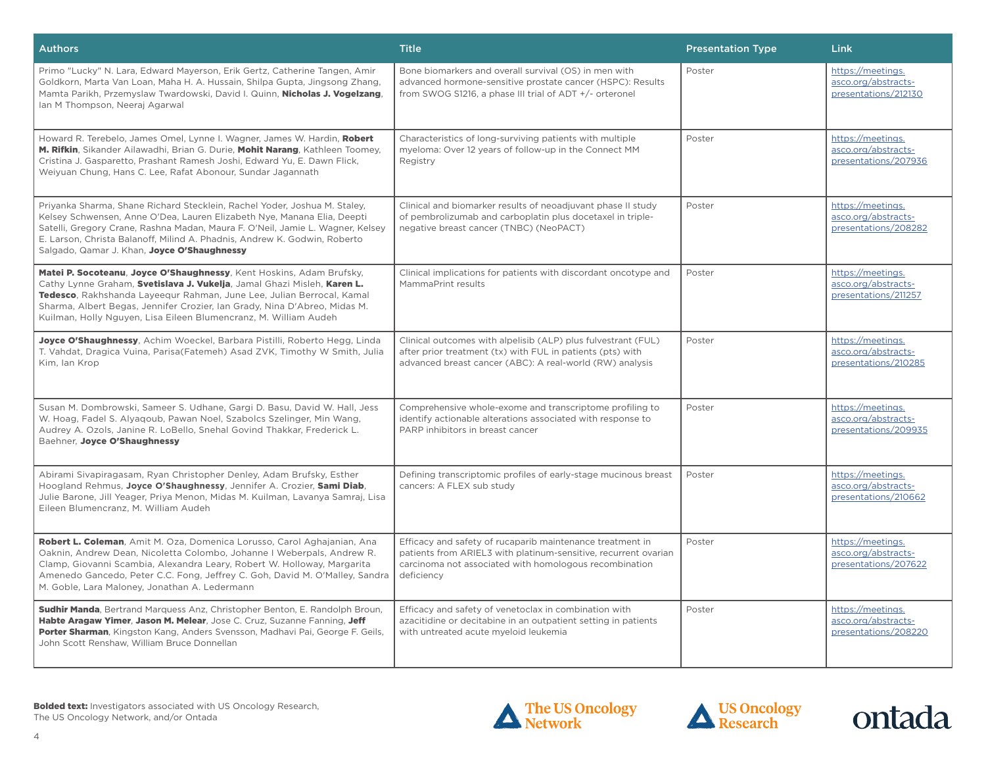| <b>Authors</b>                                                                                                                                                                                                                                                                                                                                                            | <b>Title</b>                                                                                                                                                                                         | <b>Presentation Type</b> | Link                                                             |
|---------------------------------------------------------------------------------------------------------------------------------------------------------------------------------------------------------------------------------------------------------------------------------------------------------------------------------------------------------------------------|------------------------------------------------------------------------------------------------------------------------------------------------------------------------------------------------------|--------------------------|------------------------------------------------------------------|
| Primo "Lucky" N. Lara, Edward Mayerson, Erik Gertz, Catherine Tangen, Amir<br>Goldkorn, Marta Van Loan, Maha H. A. Hussain, Shilpa Gupta, Jingsong Zhang,<br>Mamta Parikh, Przemyslaw Twardowski, David I. Quinn, Nicholas J. Vogelzang,<br>Ian M Thompson, Neeraj Agarwal                                                                                                | Bone biomarkers and overall survival (OS) in men with<br>advanced hormone-sensitive prostate cancer (HSPC): Results<br>from SWOG S1216, a phase III trial of ADT +/- orteronel                       | Poster                   | https://meetings.<br>asco.org/abstracts-<br>presentations/212130 |
| Howard R. Terebelo, James Omel, Lynne I. Wagner, James W. Hardin, Robert<br>M. Rifkin, Sikander Ailawadhi, Brian G. Durie, Mohit Narang, Kathleen Toomey,<br>Cristina J. Gasparetto, Prashant Ramesh Joshi, Edward Yu, E. Dawn Flick,<br>Weiyuan Chung, Hans C. Lee, Rafat Abonour, Sundar Jagannath                                                                      | Characteristics of long-surviving patients with multiple<br>myeloma: Over 12 years of follow-up in the Connect MM<br>Registry                                                                        | Poster                   | https://meetings.<br>asco.org/abstracts-<br>presentations/207936 |
| Priyanka Sharma, Shane Richard Stecklein, Rachel Yoder, Joshua M. Staley,<br>Kelsey Schwensen, Anne O'Dea, Lauren Elizabeth Nye, Manana Elia, Deepti<br>Satelli, Gregory Crane, Rashna Madan, Maura F. O'Neil, Jamie L. Wagner, Kelsey<br>E. Larson, Christa Balanoff, Milind A. Phadnis, Andrew K. Godwin, Roberto<br>Salgado, Qamar J. Khan, Joyce O'Shaughnessy        | Clinical and biomarker results of neoadjuvant phase II study<br>of pembrolizumab and carboplatin plus docetaxel in triple-<br>negative breast cancer (TNBC) (NeoPACT)                                | Poster                   | https://meetings.<br>asco.org/abstracts-<br>presentations/208282 |
| Matei P. Socoteanu, Joyce O'Shaughnessy, Kent Hoskins, Adam Brufsky,<br>Cathy Lynne Graham, Svetislava J. Vukelja, Jamal Ghazi Misleh, Karen L.<br>Tedesco, Rakhshanda Layeequr Rahman, June Lee, Julian Berrocal, Kamal<br>Sharma, Albert Begas, Jennifer Crozier, Ian Grady, Nina D'Abreo, Midas M.<br>Kuilman, Holly Nguyen, Lisa Eileen Blumencranz, M. William Audeh | Clinical implications for patients with discordant oncotype and<br>MammaPrint results                                                                                                                | Poster                   | https://meetings.<br>asco.org/abstracts-<br>presentations/211257 |
| Joyce O'Shaughnessy, Achim Woeckel, Barbara Pistilli, Roberto Hegg, Linda<br>T. Vahdat, Dragica Vuina, Parisa(Fatemeh) Asad ZVK, Timothy W Smith, Julia<br>Kim, Ian Krop                                                                                                                                                                                                  | Clinical outcomes with alpelisib (ALP) plus fulvestrant (FUL)<br>after prior treatment (tx) with FUL in patients (pts) with<br>advanced breast cancer (ABC): A real-world (RW) analysis              | Poster                   | https://meetings.<br>asco.org/abstracts-<br>presentations/210285 |
| Susan M. Dombrowski, Sameer S. Udhane, Gargi D. Basu, David W. Hall, Jess<br>W. Hoag, Fadel S. Alyagoub, Pawan Noel, Szabolcs Szelinger, Min Wang,<br>Audrey A. Ozols, Janine R. LoBello, Snehal Govind Thakkar, Frederick L.<br>Baehner, Joyce O'Shaughnessy                                                                                                             | Comprehensive whole-exome and transcriptome profiling to<br>identify actionable alterations associated with response to<br>PARP inhibitors in breast cancer                                          | Poster                   | https://meetings.<br>asco.org/abstracts-<br>presentations/209935 |
| Abirami Sivapiragasam, Ryan Christopher Denley, Adam Brufsky, Esther<br>Hoogland Rehmus, Joyce O'Shaughnessy, Jennifer A. Crozier, Sami Diab,<br>Julie Barone, Jill Yeager, Priya Menon, Midas M. Kuilman, Lavanya Samraj, Lisa<br>Eileen Blumencranz, M. William Audeh                                                                                                   | Defining transcriptomic profiles of early-stage mucinous breast<br>cancers: A FLEX sub study                                                                                                         | Poster                   | https://meetings.<br>asco.org/abstracts-<br>presentations/210662 |
| Robert L. Coleman, Amit M. Oza, Domenica Lorusso, Carol Aghajanian, Ana<br>Oaknin, Andrew Dean, Nicoletta Colombo, Johanne I Weberpals, Andrew R.<br>Clamp, Giovanni Scambia, Alexandra Leary, Robert W. Holloway, Margarita<br>Amenedo Gancedo, Peter C.C. Fong, Jeffrey C. Goh, David M. O'Malley, Sandra<br>M. Goble, Lara Maloney, Jonathan A. Ledermann              | Efficacy and safety of rucaparib maintenance treatment in<br>patients from ARIEL3 with platinum-sensitive, recurrent ovarian<br>carcinoma not associated with homologous recombination<br>deficiency | Poster                   | https://meetings.<br>asco.org/abstracts-<br>presentations/207622 |
| Sudhir Manda, Bertrand Marquess Anz, Christopher Benton, E. Randolph Broun,<br>Habte Aragaw Yimer, Jason M. Melear, Jose C. Cruz, Suzanne Fanning, Jeff<br>Porter Sharman, Kingston Kang, Anders Svensson, Madhavi Pai, George F. Geils,<br>John Scott Renshaw, William Bruce Donnellan                                                                                   | Efficacy and safety of venetoclax in combination with<br>azacitidine or decitabine in an outpatient setting in patients<br>with untreated acute myeloid leukemia                                     | Poster                   | https://meetings.<br>asco.org/abstracts-<br>presentations/208220 |





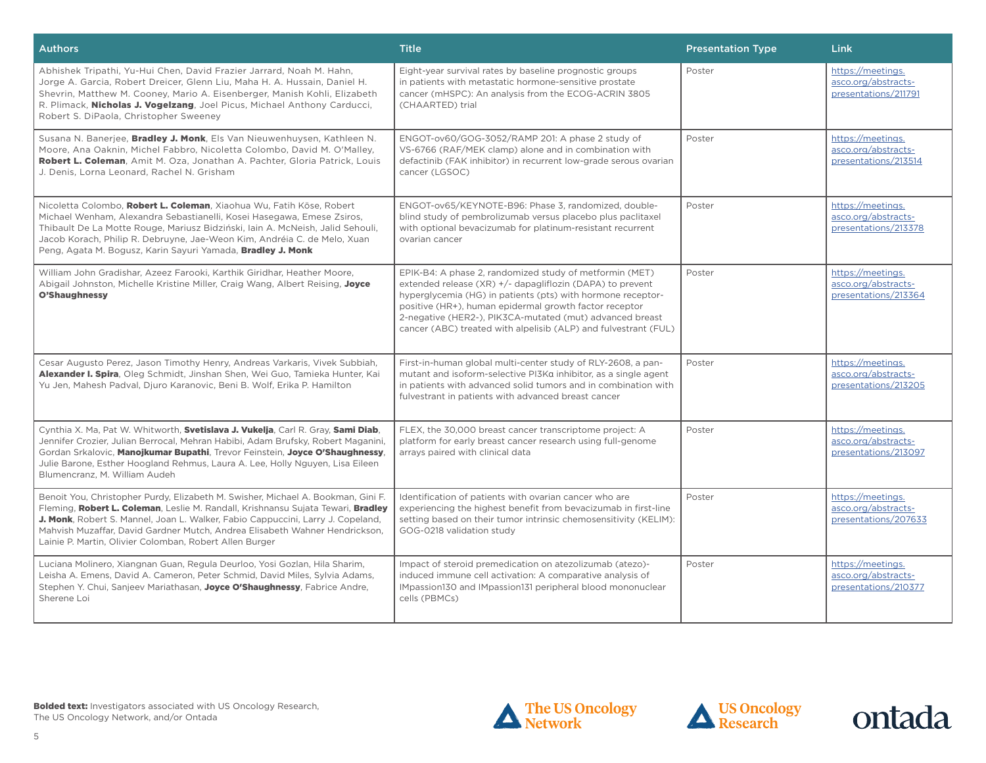| <b>Authors</b>                                                                                                                                                                                                                                                                                                                                                                                    | <b>Title</b>                                                                                                                                                                                                                                                                                                                                                                 | <b>Presentation Type</b> | <b>Link</b>                                                      |
|---------------------------------------------------------------------------------------------------------------------------------------------------------------------------------------------------------------------------------------------------------------------------------------------------------------------------------------------------------------------------------------------------|------------------------------------------------------------------------------------------------------------------------------------------------------------------------------------------------------------------------------------------------------------------------------------------------------------------------------------------------------------------------------|--------------------------|------------------------------------------------------------------|
| Abhishek Tripathi, Yu-Hui Chen, David Frazier Jarrard, Noah M. Hahn,<br>Jorge A. Garcia, Robert Dreicer, Glenn Liu, Maha H. A. Hussain, Daniel H.<br>Shevrin, Matthew M. Cooney, Mario A. Eisenberger, Manish Kohli, Elizabeth<br>R. Plimack, Nicholas J. Vogelzang, Joel Picus, Michael Anthony Carducci,<br>Robert S. DiPaola, Christopher Sweeney                                              | Eight-year survival rates by baseline prognostic groups<br>in patients with metastatic hormone-sensitive prostate<br>cancer (mHSPC): An analysis from the ECOG-ACRIN 3805<br>(CHAARTED) trial                                                                                                                                                                                | Poster                   | https://meetings.<br>asco.org/abstracts-<br>presentations/211791 |
| Susana N. Banerjee, Bradley J. Monk, Els Van Nieuwenhuysen, Kathleen N.<br>Moore, Ana Oaknin, Michel Fabbro, Nicoletta Colombo, David M. O'Malley,<br>Robert L. Coleman, Amit M. Oza, Jonathan A. Pachter, Gloria Patrick, Louis<br>J. Denis, Lorna Leonard, Rachel N. Grisham                                                                                                                    | ENGOT-ov60/GOG-3052/RAMP 201: A phase 2 study of<br>VS-6766 (RAF/MEK clamp) alone and in combination with<br>defactinib (FAK inhibitor) in recurrent low-grade serous ovarian<br>cancer (LGSOC)                                                                                                                                                                              | Poster                   | https://meetings.<br>asco.org/abstracts-<br>presentations/213514 |
| Nicoletta Colombo, Robert L. Coleman, Xiaohua Wu, Fatih Köse, Robert<br>Michael Wenham, Alexandra Sebastianelli, Kosei Hasegawa, Emese Zsiros,<br>Thibault De La Motte Rouge, Mariusz Bidziński, Iain A. McNeish, Jalid Sehouli,<br>Jacob Korach, Philip R. Debruyne, Jae-Weon Kim, Andréia C. de Melo, Xuan<br>Peng, Agata M. Bogusz, Karin Sayuri Yamada, Bradley J. Monk                       | ENGOT-ov65/KEYNOTE-B96: Phase 3, randomized, double-<br>blind study of pembrolizumab versus placebo plus paclitaxel<br>with optional bevacizumab for platinum-resistant recurrent<br>ovarian cancer                                                                                                                                                                          | Poster                   | https://meetings.<br>asco.org/abstracts-<br>presentations/213378 |
| William John Gradishar, Azeez Farooki, Karthik Giridhar, Heather Moore.<br>Abigail Johnston, Michelle Kristine Miller, Craig Wang, Albert Reising, Joyce<br>O'Shaughnessy                                                                                                                                                                                                                         | EPIK-B4: A phase 2, randomized study of metformin (MET)<br>extended release (XR) +/- dapagliflozin (DAPA) to prevent<br>hyperglycemia (HG) in patients (pts) with hormone receptor-<br>positive (HR+), human epidermal growth factor receptor<br>2-negative (HER2-), PIK3CA-mutated (mut) advanced breast<br>cancer (ABC) treated with alpelisib (ALP) and fulvestrant (FUL) | Poster                   | https://meetings.<br>asco.org/abstracts-<br>presentations/213364 |
| Cesar Augusto Perez, Jason Timothy Henry, Andreas Varkaris, Vivek Subbiah,<br>Alexander I. Spira, Oleg Schmidt, Jinshan Shen, Wei Guo, Tamieka Hunter, Kai<br>Yu Jen, Mahesh Padval, Djuro Karanovic, Beni B. Wolf, Erika P. Hamilton                                                                                                                                                             | First-in-human global multi-center study of RLY-2608, a pan-<br>mutant and isoform-selective PI3Ka inhibitor, as a single agent<br>in patients with advanced solid tumors and in combination with<br>fulvestrant in patients with advanced breast cancer                                                                                                                     | Poster                   | https://meetings.<br>asco.org/abstracts-<br>presentations/213205 |
| Cynthia X. Ma, Pat W. Whitworth, Svetislava J. Vukelja, Carl R. Gray, Sami Diab,<br>Jennifer Crozier, Julian Berrocal, Mehran Habibi, Adam Brufsky, Robert Maganini,<br>Gordan Srkalovic, Manojkumar Bupathi, Trevor Feinstein, Joyce O'Shaughnessy,<br>Julie Barone, Esther Hoogland Rehmus, Laura A. Lee, Holly Nguyen, Lisa Eileen<br>Blumencranz. M. William Audeh                            | FLEX, the 30,000 breast cancer transcriptome project: A<br>platform for early breast cancer research using full-genome<br>arrays paired with clinical data                                                                                                                                                                                                                   | Poster                   | https://meetings.<br>asco.org/abstracts-<br>presentations/213097 |
| Benoit You, Christopher Purdy, Elizabeth M. Swisher, Michael A. Bookman, Gini F.<br>Fleming, Robert L. Coleman, Leslie M. Randall, Krishnansu Sujata Tewari, Bradley<br>J. Monk, Robert S. Mannel, Joan L. Walker, Fabio Cappuccini, Larry J. Copeland,<br>Mahvish Muzaffar, David Gardner Mutch, Andrea Elisabeth Wahner Hendrickson,<br>Lainie P. Martin, Olivier Colomban, Robert Allen Burger | Identification of patients with ovarian cancer who are<br>experiencing the highest benefit from bevacizumab in first-line<br>setting based on their tumor intrinsic chemosensitivity (KELIM):<br>GOG-0218 validation study                                                                                                                                                   | Poster                   | https://meetings.<br>asco.org/abstracts-<br>presentations/207633 |
| Luciana Molinero, Xiangnan Guan, Regula Deurloo, Yosi Gozlan, Hila Sharim,<br>Leisha A. Emens, David A. Cameron, Peter Schmid, David Miles, Sylvia Adams,<br>Stephen Y. Chui, Sanjeev Mariathasan, Joyce O'Shaughnessy, Fabrice Andre,<br>Sherene Loi                                                                                                                                             | Impact of steroid premedication on atezolizumab (atezo)-<br>induced immune cell activation: A comparative analysis of<br>IMpassion130 and IMpassion131 peripheral blood mononuclear<br>cells (PBMCs)                                                                                                                                                                         | Poster                   | https://meetings.<br>asco.org/abstracts-<br>presentations/210377 |





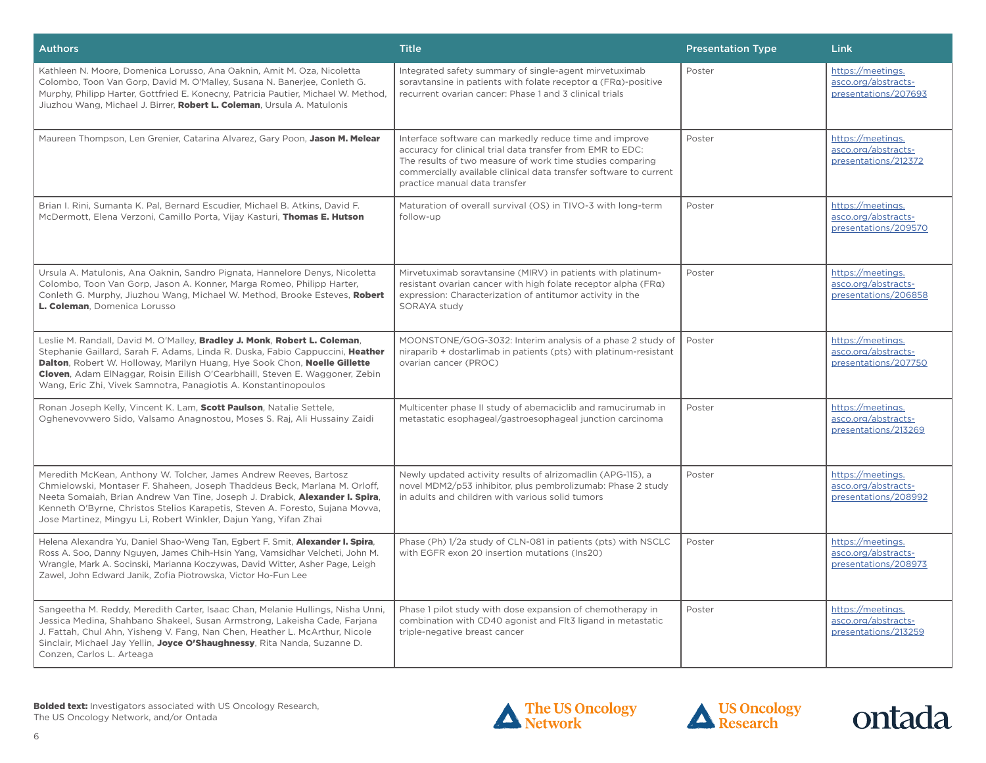| <b>Authors</b>                                                                                                                                                                                                                                                                                                                                                                             | <b>Title</b>                                                                                                                                                                                                                                                                             | <b>Presentation Type</b> | Link                                                             |
|--------------------------------------------------------------------------------------------------------------------------------------------------------------------------------------------------------------------------------------------------------------------------------------------------------------------------------------------------------------------------------------------|------------------------------------------------------------------------------------------------------------------------------------------------------------------------------------------------------------------------------------------------------------------------------------------|--------------------------|------------------------------------------------------------------|
| Kathleen N. Moore, Domenica Lorusso, Ana Oaknin, Amit M. Oza, Nicoletta<br>Colombo, Toon Van Gorp, David M. O'Malley, Susana N. Banerjee, Conleth G.<br>Murphy, Philipp Harter, Gottfried E. Konecny, Patricia Pautier, Michael W. Method,<br>Jiuzhou Wang, Michael J. Birrer, Robert L. Coleman, Ursula A. Matulonis                                                                      | Integrated safety summary of single-agent mirvetuximab<br>soravtansine in patients with folate receptor a (FRa)-positive<br>recurrent ovarian cancer: Phase 1 and 3 clinical trials                                                                                                      | Poster                   | https://meetings.<br>asco.org/abstracts-<br>presentations/207693 |
| Maureen Thompson, Len Grenier, Catarina Alvarez, Gary Poon, Jason M. Melear                                                                                                                                                                                                                                                                                                                | Interface software can markedly reduce time and improve<br>accuracy for clinical trial data transfer from EMR to EDC:<br>The results of two measure of work time studies comparing<br>commercially available clinical data transfer software to current<br>practice manual data transfer | Poster                   | https://meetings.<br>asco.org/abstracts-<br>presentations/212372 |
| Brian I. Rini, Sumanta K. Pal, Bernard Escudier, Michael B. Atkins, David F.<br>McDermott, Elena Verzoni, Camillo Porta, Vijay Kasturi, Thomas E. Hutson                                                                                                                                                                                                                                   | Maturation of overall survival (OS) in TIVO-3 with long-term<br>follow-up                                                                                                                                                                                                                | Poster                   | https://meetings.<br>asco.org/abstracts-<br>presentations/209570 |
| Ursula A. Matulonis, Ana Oaknin, Sandro Pignata, Hannelore Denys, Nicoletta<br>Colombo, Toon Van Gorp, Jason A. Konner, Marga Romeo, Philipp Harter,<br>Conleth G. Murphy, Jiuzhou Wang, Michael W. Method, Brooke Esteves, Robert<br>L. Coleman, Domenica Lorusso                                                                                                                         | Mirvetuximab soravtansine (MIRV) in patients with platinum-<br>resistant ovarian cancer with high folate receptor alpha (FRa)<br>expression: Characterization of antitumor activity in the<br>SORAYA study                                                                               | Poster                   | https://meetings.<br>asco.org/abstracts-<br>presentations/206858 |
| Leslie M. Randall, David M. O'Malley, Bradley J. Monk, Robert L. Coleman,<br>Stephanie Gaillard, Sarah F. Adams, Linda R. Duska, Fabio Cappuccini, Heather<br>Dalton, Robert W. Holloway, Marilyn Huang, Hye Sook Chon, Noelle Gillette<br>Cloven, Adam ElNaggar, Roisin Eilish O'Cearbhaill, Steven E. Waggoner, Zebin<br>Wang, Eric Zhi, Vivek Samnotra, Panagiotis A. Konstantinopoulos | MOONSTONE/GOG-3032: Interim analysis of a phase 2 study of<br>niraparib + dostarlimab in patients (pts) with platinum-resistant<br>ovarian cancer (PROC)                                                                                                                                 | Poster                   | https://meetings.<br>asco.org/abstracts-<br>presentations/207750 |
| Ronan Joseph Kelly, Vincent K. Lam, Scott Paulson, Natalie Settele,<br>Oghenevovwero Sido, Valsamo Anagnostou, Moses S. Raj, Ali Hussainy Zaidi                                                                                                                                                                                                                                            | Multicenter phase II study of abemaciclib and ramucirumab in<br>metastatic esophageal/gastroesophageal junction carcinoma                                                                                                                                                                | Poster                   | https://meetings.<br>asco.org/abstracts-<br>presentations/213269 |
| Meredith McKean, Anthony W. Tolcher, James Andrew Reeves, Bartosz<br>Chmielowski, Montaser F. Shaheen, Joseph Thaddeus Beck, Marlana M. Orloff,<br>Neeta Somaiah, Brian Andrew Van Tine, Joseph J. Drabick, Alexander I. Spira,<br>Kenneth O'Byrne, Christos Stelios Karapetis, Steven A. Foresto, Sujana Movva,<br>Jose Martinez, Mingyu Li, Robert Winkler, Dajun Yang, Yifan Zhai       | Newly updated activity results of alrizomadlin (APG-115), a<br>novel MDM2/p53 inhibitor, plus pembrolizumab: Phase 2 study<br>in adults and children with various solid tumors                                                                                                           | Poster                   | https://meetings.<br>asco.org/abstracts-<br>presentations/208992 |
| Helena Alexandra Yu, Daniel Shao-Weng Tan, Egbert F. Smit, Alexander I. Spira,<br>Ross A. Soo, Danny Nguyen, James Chih-Hsin Yang, Vamsidhar Velcheti, John M.<br>Wrangle, Mark A. Socinski, Marianna Koczywas, David Witter, Asher Page, Leigh<br>Zawel, John Edward Janik, Zofia Piotrowska, Victor Ho-Fun Lee                                                                           | Phase (Ph) 1/2a study of CLN-081 in patients (pts) with NSCLC<br>with EGFR exon 20 insertion mutations (Ins20)                                                                                                                                                                           | Poster                   | https://meetings.<br>asco.org/abstracts-<br>presentations/208973 |
| Sangeetha M. Reddy, Meredith Carter, Isaac Chan, Melanie Hullings, Nisha Unni,<br>Jessica Medina, Shahbano Shakeel, Susan Armstrong, Lakeisha Cade, Farjana<br>J. Fattah, Chul Ahn, Yisheng V. Fang, Nan Chen, Heather L. McArthur, Nicole<br>Sinclair, Michael Jay Yellin, Joyce O'Shaughnessy, Rita Nanda, Suzanne D.<br>Conzen, Carlos L. Arteaga                                       | Phase 1 pilot study with dose expansion of chemotherapy in<br>combination with CD40 agonist and Flt3 ligand in metastatic<br>triple-negative breast cancer                                                                                                                               | Poster                   | https://meetings.<br>asco.org/abstracts-<br>presentations/213259 |





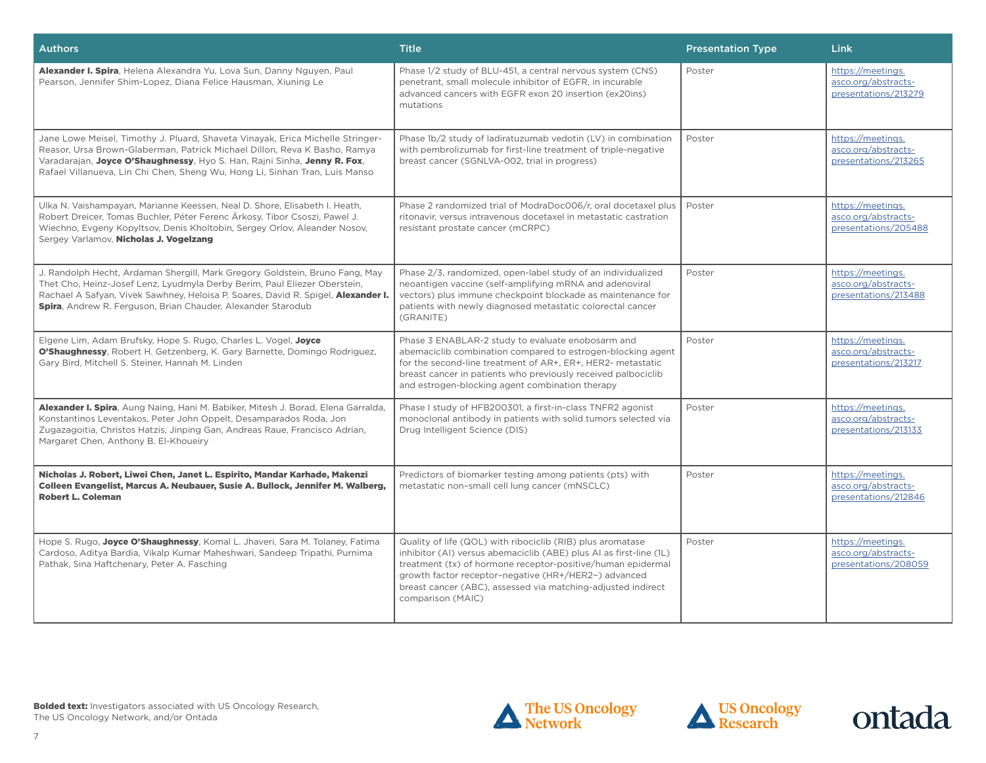| <b>Authors</b>                                                                                                                                                                                                                                                                                                         | <b>Title</b>                                                                                                                                                                                                                                                                                                                                 | <b>Presentation Type</b> | <b>Link</b>                                                      |
|------------------------------------------------------------------------------------------------------------------------------------------------------------------------------------------------------------------------------------------------------------------------------------------------------------------------|----------------------------------------------------------------------------------------------------------------------------------------------------------------------------------------------------------------------------------------------------------------------------------------------------------------------------------------------|--------------------------|------------------------------------------------------------------|
| Alexander I. Spira, Helena Alexandra Yu, Lova Sun, Danny Nguyen, Paul<br>Pearson, Jennifer Shim-Lopez, Diana Felice Hausman, Xiuning Le                                                                                                                                                                                | Phase 1/2 study of BLU-451, a central nervous system (CNS)<br>penetrant, small molecule inhibitor of EGFR, in incurable<br>advanced cancers with EGFR exon 20 insertion (ex20ins)<br>mutations                                                                                                                                               | Poster                   | https://meetings.<br>asco.org/abstracts-<br>presentations/213279 |
| Jane Lowe Meisel, Timothy J. Pluard, Shaveta Vinayak, Erica Michelle Stringer-<br>Reasor, Ursa Brown-Glaberman, Patrick Michael Dillon, Reva K Basho, Ramya<br>Varadarajan, Joyce O'Shaughnessy, Hyo S. Han, Rajni Sinha, Jenny R. Fox,<br>Rafael Villanueva, Lin Chi Chen, Sheng Wu, Hong Li, Sinhan Tran, Luis Manso | Phase 1b/2 study of ladiratuzumab vedotin (LV) in combination<br>with pembrolizumab for first-line treatment of triple-negative<br>breast cancer (SGNLVA-002, trial in progress)                                                                                                                                                             | Poster                   | https://meetings.<br>asco.org/abstracts-<br>presentations/213265 |
| Ulka N. Vaishampayan, Marianne Keessen, Neal D. Shore, Elisabeth I. Heath,<br>Robert Dreicer, Tomas Buchler, Péter Ferenc Árkosy, Tibor Csoszi, Pawel J.<br>Wiechno, Evgeny Kopyltsov, Denis Kholtobin, Sergey Orlov, Aleander Nosov,<br>Sergey Varlamov, Nicholas J. Vogelzang                                        | Phase 2 randomized trial of ModraDoc006/r, oral docetaxel plus<br>ritonavir, versus intravenous docetaxel in metastatic castration<br>resistant prostate cancer (mCRPC)                                                                                                                                                                      | Poster                   | https://meetings.<br>asco.org/abstracts-<br>presentations/205488 |
| J. Randolph Hecht, Ardaman Shergill, Mark Gregory Goldstein, Bruno Fang, May<br>Thet Cho, Heinz-Josef Lenz, Lyudmyla Derby Berim, Paul Eliezer Oberstein,<br>Rachael A Safyan, Vivek Sawhney, Heloisa P. Soares, David R. Spigel, Alexander I.<br>Spira, Andrew R. Ferguson, Brian Chauder, Alexander Starodub         | Phase 2/3, randomized, open-label study of an individualized<br>neoantigen vaccine (self-amplifying mRNA and adenoviral<br>vectors) plus immune checkpoint blockade as maintenance for<br>patients with newly diagnosed metastatic colorectal cancer<br>(GRANITE)                                                                            | Poster                   | https://meetings.<br>asco.org/abstracts-<br>presentations/213488 |
| Elgene Lim, Adam Brufsky, Hope S. Rugo, Charles L. Vogel, Joyce<br>O'Shaughnessy, Robert H. Getzenberg, K. Gary Barnette, Domingo Rodriguez,<br>Gary Bird, Mitchell S. Steiner, Hannah M. Linden                                                                                                                       | Phase 3 ENABLAR-2 study to evaluate enobosarm and<br>abemaciclib combination compared to estrogen-blocking agent<br>for the second-line treatment of AR+, ER+, HER2- metastatic<br>breast cancer in patients who previously received palbociclib<br>and estrogen-blocking agent combination therapy                                          | Poster                   | https://meetings.<br>asco.org/abstracts-<br>presentations/213217 |
| Alexander I. Spira, Aung Naing, Hani M. Babiker, Mitesh J. Borad, Elena Garralda,<br>Konstantinos Leventakos, Peter John Oppelt, Desamparados Roda, Jon<br>Zugazagoitia, Christos Hatzis, Jinping Gan, Andreas Raue, Francisco Adrian,<br>Margaret Chen, Anthony B. El-Khoueiry                                        | Phase I study of HFB200301, a first-in-class TNFR2 agonist<br>monoclonal antibody in patients with solid tumors selected via<br>Drug Intelligent Science (DIS)                                                                                                                                                                               | Poster                   | https://meetings.<br>asco.org/abstracts-<br>presentations/213133 |
| Nicholas J. Robert, Liwei Chen, Janet L. Espirito, Mandar Karhade, Makenzi<br>Colleen Evangelist, Marcus A. Neubauer, Susie A. Bullock, Jennifer M. Walberg,<br><b>Robert L. Coleman</b>                                                                                                                               | Predictors of biomarker testing among patients (pts) with<br>metastatic non-small cell lung cancer (mNSCLC)                                                                                                                                                                                                                                  | Poster                   | https://meetings.<br>asco.org/abstracts-<br>presentations/212846 |
| Hope S. Rugo, Joyce O'Shaughnessy, Komal L. Jhaveri, Sara M. Tolaney, Fatima<br>Cardoso, Aditya Bardia, Vikalp Kumar Maheshwari, Sandeep Tripathi, Purnima<br>Pathak, Sina Haftchenary, Peter A. Fasching                                                                                                              | Quality of life (QOL) with ribociclib (RIB) plus aromatase<br>inhibitor (AI) versus abemaciclib (ABE) plus AI as first-line (1L)<br>treatment (tx) of hormone receptor-positive/human epidermal<br>growth factor receptor-negative (HR+/HER2-) advanced<br>breast cancer (ABC), assessed via matching-adjusted indirect<br>comparison (MAIC) | Poster                   | https://meetings.<br>asco.org/abstracts-<br>presentations/208059 |





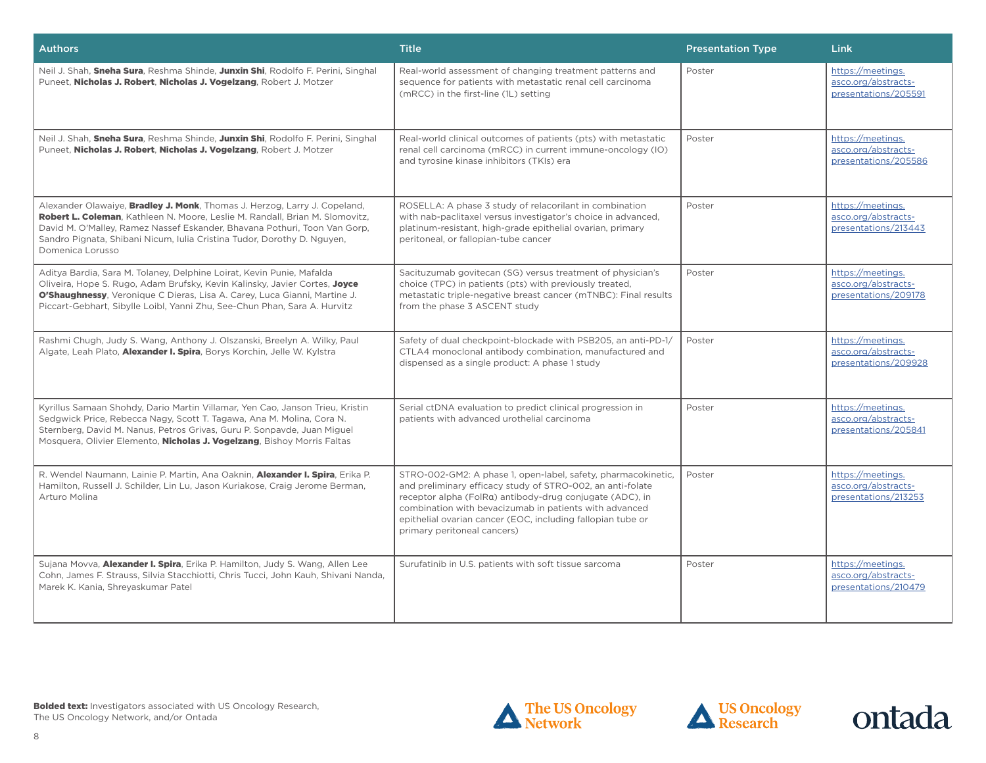| <b>Authors</b>                                                                                                                                                                                                                                                                                                                        | <b>Title</b>                                                                                                                                                                                                                                                                                                                                    | <b>Presentation Type</b> | Link                                                             |
|---------------------------------------------------------------------------------------------------------------------------------------------------------------------------------------------------------------------------------------------------------------------------------------------------------------------------------------|-------------------------------------------------------------------------------------------------------------------------------------------------------------------------------------------------------------------------------------------------------------------------------------------------------------------------------------------------|--------------------------|------------------------------------------------------------------|
| Neil J. Shah, Sneha Sura, Reshma Shinde, Junxin Shi, Rodolfo F. Perini, Singhal<br>Puneet, Nicholas J. Robert, Nicholas J. Vogelzang, Robert J. Motzer                                                                                                                                                                                | Real-world assessment of changing treatment patterns and<br>sequence for patients with metastatic renal cell carcinoma<br>(mRCC) in the first-line (1L) setting                                                                                                                                                                                 | Poster                   | https://meetings.<br>asco.org/abstracts-<br>presentations/205591 |
| Neil J. Shah, Sneha Sura, Reshma Shinde, Junxin Shi, Rodolfo F. Perini, Singhal<br>Puneet, Nicholas J. Robert, Nicholas J. Vogelzang, Robert J. Motzer                                                                                                                                                                                | Real-world clinical outcomes of patients (pts) with metastatic<br>renal cell carcinoma (mRCC) in current immune-oncology (IO)<br>and tyrosine kinase inhibitors (TKIs) era                                                                                                                                                                      | Poster                   | https://meetings.<br>asco.org/abstracts-<br>presentations/205586 |
| Alexander Olawaiye, Bradley J. Monk, Thomas J. Herzog, Larry J. Copeland,<br>Robert L. Coleman, Kathleen N. Moore, Leslie M. Randall, Brian M. Slomovitz,<br>David M. O'Malley, Ramez Nassef Eskander, Bhavana Pothuri, Toon Van Gorp,<br>Sandro Pignata, Shibani Nicum, Iulia Cristina Tudor, Dorothy D. Nguyen,<br>Domenica Lorusso | ROSELLA: A phase 3 study of relacorilant in combination<br>with nab-paclitaxel versus investigator's choice in advanced,<br>platinum-resistant, high-grade epithelial ovarian, primary<br>peritoneal, or fallopian-tube cancer                                                                                                                  | Poster                   | https://meetings.<br>asco.org/abstracts-<br>presentations/213443 |
| Aditya Bardia, Sara M. Tolaney, Delphine Loirat, Kevin Punie, Mafalda<br>Oliveira, Hope S. Rugo, Adam Brufsky, Kevin Kalinsky, Javier Cortes, Joyce<br>O'Shaughnessy, Veronique C Dieras, Lisa A. Carey, Luca Gianni, Martine J.<br>Piccart-Gebhart, Sibylle Loibl, Yanni Zhu, See-Chun Phan, Sara A. Hurvitz                         | Sacituzumab govitecan (SG) versus treatment of physician's<br>choice (TPC) in patients (pts) with previously treated,<br>metastatic triple-negative breast cancer (mTNBC): Final results<br>from the phase 3 ASCENT study                                                                                                                       | Poster                   | https://meetings.<br>asco.org/abstracts-<br>presentations/209178 |
| Rashmi Chugh, Judy S. Wang, Anthony J. Olszanski, Breelyn A. Wilky, Paul<br>Algate, Leah Plato, <b>Alexander I. Spira</b> , Borys Korchin, Jelle W. Kylstra                                                                                                                                                                           | Safety of dual checkpoint-blockade with PSB205, an anti-PD-1/<br>CTLA4 monoclonal antibody combination, manufactured and<br>dispensed as a single product: A phase 1 study                                                                                                                                                                      | Poster                   | https://meetings.<br>asco.org/abstracts-<br>presentations/209928 |
| Kyrillus Samaan Shohdy, Dario Martin Villamar, Yen Cao, Janson Trieu, Kristin<br>Sedgwick Price, Rebecca Nagy, Scott T. Tagawa, Ana M. Molina, Cora N.<br>Sternberg, David M. Nanus, Petros Grivas, Guru P. Sonpavde, Juan Miguel<br>Mosquera, Olivier Elemento, Nicholas J. Vogelzang, Bishoy Morris Faltas                          | Serial ctDNA evaluation to predict clinical progression in<br>patients with advanced urothelial carcinoma                                                                                                                                                                                                                                       | Poster                   | https://meetings.<br>asco.org/abstracts-<br>presentations/205841 |
| R. Wendel Naumann, Lainie P. Martin, Ana Oaknin, Alexander I. Spira, Erika P.<br>Hamilton, Russell J. Schilder, Lin Lu, Jason Kuriakose, Craig Jerome Berman,<br>Arturo Molina                                                                                                                                                        | STRO-002-GM2: A phase 1, open-label, safety, pharmacokinetic,<br>and preliminary efficacy study of STRO-002, an anti-folate<br>receptor alpha (FolRg) antibody-drug conjugate (ADC), in<br>combination with bevacizumab in patients with advanced<br>epithelial ovarian cancer (EOC, including fallopian tube or<br>primary peritoneal cancers) | Poster                   | https://meetings.<br>asco.org/abstracts-<br>presentations/213253 |
| Sujana Movva, Alexander I. Spira, Erika P. Hamilton, Judy S. Wang, Allen Lee<br>Cohn, James F. Strauss, Silvia Stacchiotti, Chris Tucci, John Kauh, Shivani Nanda,<br>Marek K. Kania, Shreyaskumar Patel                                                                                                                              | Surufatinib in U.S. patients with soft tissue sarcoma                                                                                                                                                                                                                                                                                           | Poster                   | https://meetings.<br>asco.org/abstracts-<br>presentations/210479 |





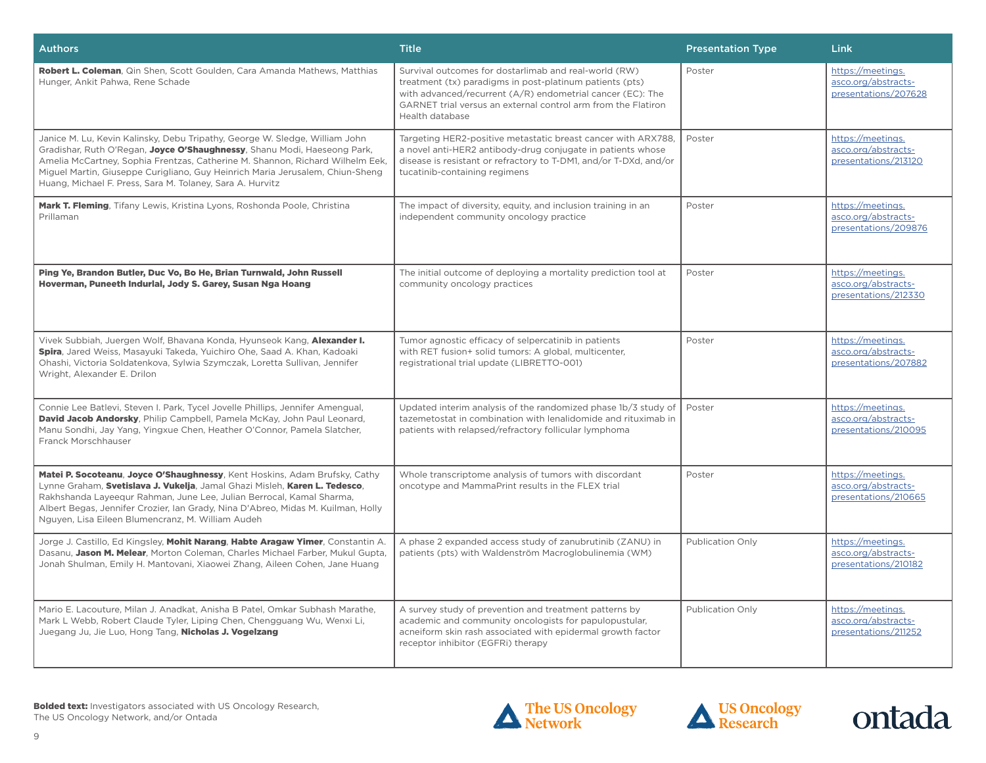| <b>Authors</b>                                                                                                                                                                                                                                                                                                                                                                         | <b>Title</b>                                                                                                                                                                                                                                                        | <b>Presentation Type</b> | Link                                                             |
|----------------------------------------------------------------------------------------------------------------------------------------------------------------------------------------------------------------------------------------------------------------------------------------------------------------------------------------------------------------------------------------|---------------------------------------------------------------------------------------------------------------------------------------------------------------------------------------------------------------------------------------------------------------------|--------------------------|------------------------------------------------------------------|
| Robert L. Coleman, Qin Shen, Scott Goulden, Cara Amanda Mathews, Matthias<br>Hunger, Ankit Pahwa, Rene Schade                                                                                                                                                                                                                                                                          | Survival outcomes for dostarlimab and real-world (RW)<br>treatment (tx) paradigms in post-platinum patients (pts)<br>with advanced/recurrent (A/R) endometrial cancer (EC): The<br>GARNET trial versus an external control arm from the Flatiron<br>Health database | Poster                   | https://meetings.<br>asco.org/abstracts-<br>presentations/207628 |
| Janice M. Lu, Kevin Kalinsky, Debu Tripathy, George W. Sledge, William John<br>Gradishar, Ruth O'Regan, Joyce O'Shaughnessy, Shanu Modi, Haeseong Park,<br>Amelia McCartney, Sophia Frentzas, Catherine M. Shannon, Richard Wilhelm Eek,<br>Miguel Martin, Giuseppe Curigliano, Guy Heinrich Maria Jerusalem, Chiun-Sheng<br>Huang, Michael F. Press, Sara M. Tolaney, Sara A. Hurvitz | Targeting HER2-positive metastatic breast cancer with ARX788,<br>a novel anti-HER2 antibody-drug conjugate in patients whose<br>disease is resistant or refractory to T-DM1, and/or T-DXd, and/or<br>tucatinib-containing regimens                                  | Poster                   | https://meetings.<br>asco.org/abstracts-<br>presentations/213120 |
| Mark T. Fleming, Tifany Lewis, Kristina Lyons, Roshonda Poole, Christina<br>Prillaman                                                                                                                                                                                                                                                                                                  | The impact of diversity, equity, and inclusion training in an<br>independent community oncology practice                                                                                                                                                            | Poster                   | https://meetings.<br>asco.org/abstracts-<br>presentations/209876 |
| Ping Ye, Brandon Butler, Duc Vo, Bo He, Brian Turnwald, John Russell<br>Hoverman, Puneeth Indurlal, Jody S. Garey, Susan Nga Hoang                                                                                                                                                                                                                                                     | The initial outcome of deploying a mortality prediction tool at<br>community oncology practices                                                                                                                                                                     | Poster                   | https://meetings.<br>asco.org/abstracts-<br>presentations/212330 |
| Vivek Subbiah, Juergen Wolf, Bhavana Konda, Hyunseok Kang, Alexander I.<br>Spira, Jared Weiss, Masayuki Takeda, Yuichiro Ohe, Saad A. Khan, Kadoaki<br>Ohashi, Victoria Soldatenkova, Sylwia Szymczak, Loretta Sullivan, Jennifer<br>Wright, Alexander E. Drilon                                                                                                                       | Tumor agnostic efficacy of selpercatinib in patients<br>with RET fusion+ solid tumors: A global, multicenter,<br>registrational trial update (LIBRETTO-001)                                                                                                         | Poster                   | https://meetings.<br>asco.org/abstracts-<br>presentations/207882 |
| Connie Lee Batlevi, Steven I. Park, Tycel Jovelle Phillips, Jennifer Amengual,<br>David Jacob Andorsky, Philip Campbell, Pamela McKay, John Paul Leonard,<br>Manu Sondhi, Jay Yang, Yingxue Chen, Heather O'Connor, Pamela Slatcher,<br>Franck Morschhauser                                                                                                                            | Updated interim analysis of the randomized phase 1b/3 study of<br>tazemetostat in combination with lenalidomide and rituximab in<br>patients with relapsed/refractory follicular lymphoma                                                                           | Poster                   | https://meetings.<br>asco.org/abstracts-<br>presentations/210095 |
| Matei P. Socoteanu, Joyce O'Shaughnessy, Kent Hoskins, Adam Brufsky, Cathy<br>Lynne Graham, Svetislava J. Vukelja, Jamal Ghazi Misleh, Karen L. Tedesco,<br>Rakhshanda Layeequr Rahman, June Lee, Julian Berrocal, Kamal Sharma,<br>Albert Begas, Jennifer Crozier, Ian Grady, Nina D'Abreo, Midas M. Kuilman, Holly<br>Nguyen, Lisa Eileen Blumencranz, M. William Audeh              | Whole transcriptome analysis of tumors with discordant<br>oncotype and MammaPrint results in the FLEX trial                                                                                                                                                         | Poster                   | https://meetings.<br>asco.org/abstracts-<br>presentations/210665 |
| Jorge J. Castillo, Ed Kingsley, Mohit Narang, Habte Aragaw Yimer, Constantin A.<br>Dasanu, Jason M. Melear, Morton Coleman, Charles Michael Farber, Mukul Gupta,<br>Jonah Shulman, Emily H. Mantovani, Xiaowei Zhang, Aileen Cohen, Jane Huang                                                                                                                                         | A phase 2 expanded access study of zanubrutinib (ZANU) in<br>patients (pts) with Waldenström Macroglobulinemia (WM)                                                                                                                                                 | Publication Only         | https://meetings.<br>asco.org/abstracts-<br>presentations/210182 |
| Mario E. Lacouture, Milan J. Anadkat, Anisha B Patel, Omkar Subhash Marathe.<br>Mark L Webb, Robert Claude Tyler, Liping Chen, Chengguang Wu, Wenxi Li,<br>Juegang Ju, Jie Luo, Hong Tang, Nicholas J. Vogelzang                                                                                                                                                                       | A survey study of prevention and treatment patterns by<br>academic and community oncologists for papulopustular,<br>acneiform skin rash associated with epidermal growth factor<br>receptor inhibitor (EGFRi) therapy                                               | Publication Only         | https://meetings.<br>asco.org/abstracts-<br>presentations/211252 |





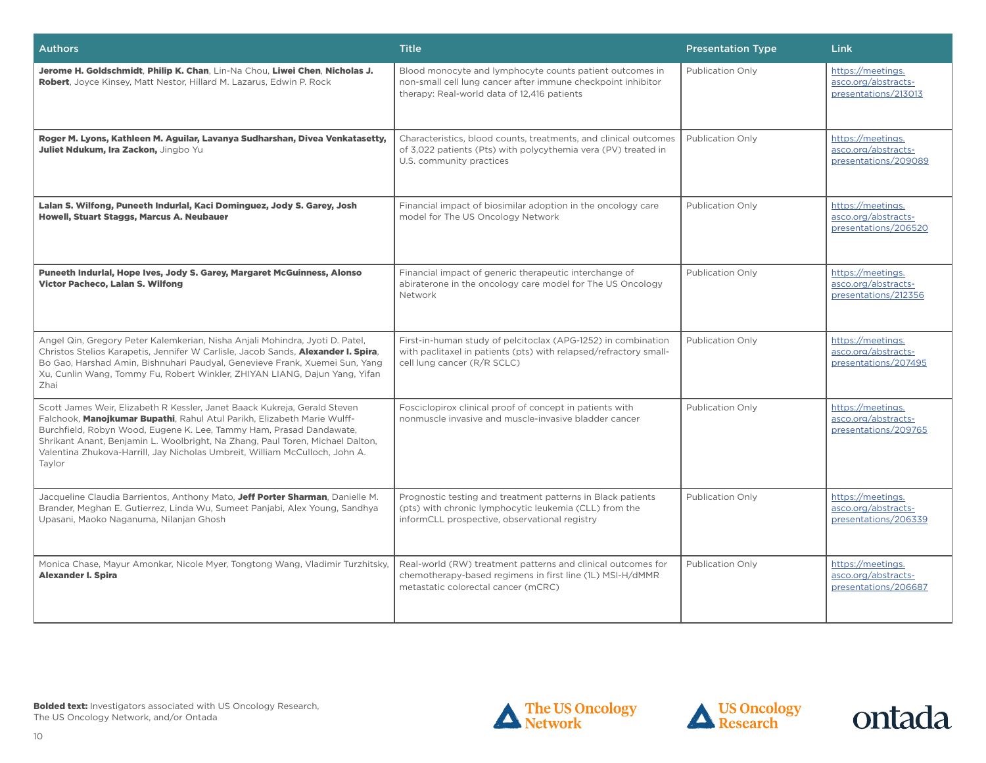| <b>Authors</b>                                                                                                                                                                                                                                                                                                                                                                                        | <b>Title</b>                                                                                                                                                            | <b>Presentation Type</b> | Link                                                             |
|-------------------------------------------------------------------------------------------------------------------------------------------------------------------------------------------------------------------------------------------------------------------------------------------------------------------------------------------------------------------------------------------------------|-------------------------------------------------------------------------------------------------------------------------------------------------------------------------|--------------------------|------------------------------------------------------------------|
| Jerome H. Goldschmidt, Philip K. Chan, Lin-Na Chou, Liwei Chen, Nicholas J.<br>Robert, Joyce Kinsey, Matt Nestor, Hillard M. Lazarus, Edwin P. Rock                                                                                                                                                                                                                                                   | Blood monocyte and lymphocyte counts patient outcomes in<br>non-small cell lung cancer after immune checkpoint inhibitor<br>therapy: Real-world data of 12,416 patients | Publication Only         | https://meetings.<br>asco.org/abstracts-<br>presentations/213013 |
| Roger M. Lyons, Kathleen M. Aguilar, Lavanya Sudharshan, Divea Venkatasetty,<br>Juliet Ndukum, Ira Zackon, Jingbo Yu                                                                                                                                                                                                                                                                                  | Characteristics, blood counts, treatments, and clinical outcomes<br>of 3,022 patients (Pts) with polycythemia vera (PV) treated in<br>U.S. community practices          | Publication Only         | https://meetings.<br>asco.org/abstracts-<br>presentations/209089 |
| Lalan S. Wilfong, Puneeth Indurlal, Kaci Dominguez, Jody S. Garey, Josh<br>Howell, Stuart Staggs, Marcus A. Neubauer                                                                                                                                                                                                                                                                                  | Financial impact of biosimilar adoption in the oncology care<br>model for The US Oncology Network                                                                       | Publication Only         | https://meetings.<br>asco.org/abstracts-<br>presentations/206520 |
| Puneeth Indurlal, Hope Ives, Jody S. Garey, Margaret McGuinness, Alonso<br><b>Victor Pacheco, Lalan S. Wilfong</b>                                                                                                                                                                                                                                                                                    | Financial impact of generic therapeutic interchange of<br>abiraterone in the oncology care model for The US Oncology<br>Network                                         | Publication Only         | https://meetings.<br>asco.org/abstracts-<br>presentations/212356 |
| Angel Qin, Gregory Peter Kalemkerian, Nisha Anjali Mohindra, Jyoti D. Patel,<br>Christos Stelios Karapetis, Jennifer W Carlisle, Jacob Sands, Alexander I. Spira,<br>Bo Gao, Harshad Amin, Bishnuhari Paudyal, Genevieve Frank, Xuemei Sun, Yang<br>Xu, Cunlin Wang, Tommy Fu, Robert Winkler, ZHIYAN LIANG, Dajun Yang, Yifan<br>Zhai                                                                | First-in-human study of pelcitoclax (APG-1252) in combination<br>with paclitaxel in patients (pts) with relapsed/refractory small-<br>cell lung cancer (R/R SCLC)       | Publication Only         | https://meetings.<br>asco.org/abstracts-<br>presentations/207495 |
| Scott James Weir, Elizabeth R Kessler, Janet Baack Kukreja, Gerald Steven<br>Falchook, Manojkumar Bupathi, Rahul Atul Parikh, Elizabeth Marie Wulff-<br>Burchfield, Robyn Wood, Eugene K. Lee, Tammy Ham, Prasad Dandawate,<br>Shrikant Anant, Benjamin L. Woolbright, Na Zhang, Paul Toren, Michael Dalton,<br>Valentina Zhukova-Harrill, Jay Nicholas Umbreit, William McCulloch, John A.<br>Taylor | Fosciclopirox clinical proof of concept in patients with<br>nonmuscle invasive and muscle-invasive bladder cancer                                                       | Publication Only         | https://meetings.<br>asco.org/abstracts-<br>presentations/209765 |
| Jacqueline Claudia Barrientos, Anthony Mato, Jeff Porter Sharman, Danielle M.<br>Brander, Meghan E. Gutierrez, Linda Wu, Sumeet Panjabi, Alex Young, Sandhya<br>Upasani, Maoko Naganuma, Nilanjan Ghosh                                                                                                                                                                                               | Prognostic testing and treatment patterns in Black patients<br>(pts) with chronic lymphocytic leukemia (CLL) from the<br>informCLL prospective, observational registry  | Publication Only         | https://meetings.<br>asco.org/abstracts-<br>presentations/206339 |
| Monica Chase, Mayur Amonkar, Nicole Myer, Tongtong Wang, Vladimir Turzhitsky,<br><b>Alexander I. Spira</b>                                                                                                                                                                                                                                                                                            | Real-world (RW) treatment patterns and clinical outcomes for<br>chemotherapy-based regimens in first line (1L) MSI-H/dMMR<br>metastatic colorectal cancer (mCRC)        | Publication Only         | https://meetings.<br>asco.org/abstracts-<br>presentations/206687 |